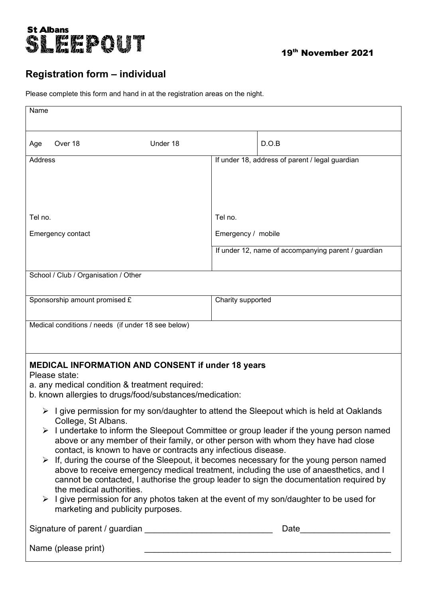

## **Registration form – individual**

Please complete this form and hand in at the registration areas on the night.

| Name                                                                                                                                                                                                                                                                                                                                                                                                                                                                                                                                                                                                                                                                                                                                                                                                                                                             |                               |                    |                   |                                                     |  |
|------------------------------------------------------------------------------------------------------------------------------------------------------------------------------------------------------------------------------------------------------------------------------------------------------------------------------------------------------------------------------------------------------------------------------------------------------------------------------------------------------------------------------------------------------------------------------------------------------------------------------------------------------------------------------------------------------------------------------------------------------------------------------------------------------------------------------------------------------------------|-------------------------------|--------------------|-------------------|-----------------------------------------------------|--|
|                                                                                                                                                                                                                                                                                                                                                                                                                                                                                                                                                                                                                                                                                                                                                                                                                                                                  |                               |                    |                   |                                                     |  |
| Age                                                                                                                                                                                                                                                                                                                                                                                                                                                                                                                                                                                                                                                                                                                                                                                                                                                              | Over 18                       | Under 18           |                   | D.O.B                                               |  |
| <b>Address</b>                                                                                                                                                                                                                                                                                                                                                                                                                                                                                                                                                                                                                                                                                                                                                                                                                                                   |                               |                    |                   | If under 18, address of parent / legal guardian     |  |
|                                                                                                                                                                                                                                                                                                                                                                                                                                                                                                                                                                                                                                                                                                                                                                                                                                                                  |                               |                    |                   |                                                     |  |
| Tel no.                                                                                                                                                                                                                                                                                                                                                                                                                                                                                                                                                                                                                                                                                                                                                                                                                                                          |                               |                    | Tel no.           |                                                     |  |
| Emergency contact                                                                                                                                                                                                                                                                                                                                                                                                                                                                                                                                                                                                                                                                                                                                                                                                                                                |                               | Emergency / mobile |                   |                                                     |  |
|                                                                                                                                                                                                                                                                                                                                                                                                                                                                                                                                                                                                                                                                                                                                                                                                                                                                  |                               |                    |                   | If under 12, name of accompanying parent / guardian |  |
| School / Club / Organisation / Other                                                                                                                                                                                                                                                                                                                                                                                                                                                                                                                                                                                                                                                                                                                                                                                                                             |                               |                    |                   |                                                     |  |
|                                                                                                                                                                                                                                                                                                                                                                                                                                                                                                                                                                                                                                                                                                                                                                                                                                                                  |                               |                    |                   |                                                     |  |
|                                                                                                                                                                                                                                                                                                                                                                                                                                                                                                                                                                                                                                                                                                                                                                                                                                                                  | Sponsorship amount promised £ |                    | Charity supported |                                                     |  |
| Medical conditions / needs (if under 18 see below)                                                                                                                                                                                                                                                                                                                                                                                                                                                                                                                                                                                                                                                                                                                                                                                                               |                               |                    |                   |                                                     |  |
|                                                                                                                                                                                                                                                                                                                                                                                                                                                                                                                                                                                                                                                                                                                                                                                                                                                                  |                               |                    |                   |                                                     |  |
| <b>MEDICAL INFORMATION AND CONSENT if under 18 years</b><br>Please state:<br>a. any medical condition & treatment required:<br>b. known allergies to drugs/food/substances/medication:                                                                                                                                                                                                                                                                                                                                                                                                                                                                                                                                                                                                                                                                           |                               |                    |                   |                                                     |  |
| I give permission for my son/daughter to attend the Sleepout which is held at Oaklands<br>➤<br>College, St Albans.<br>$\triangleright$ I undertake to inform the Sleepout Committee or group leader if the young person named<br>above or any member of their family, or other person with whom they have had close<br>contact, is known to have or contracts any infectious disease.<br>$\triangleright$ If, during the course of the Sleepout, it becomes necessary for the young person named<br>above to receive emergency medical treatment, including the use of anaesthetics, and I<br>cannot be contacted, I authorise the group leader to sign the documentation required by<br>the medical authorities.<br>$\triangleright$ I give permission for any photos taken at the event of my son/daughter to be used for<br>marketing and publicity purposes. |                               |                    |                   |                                                     |  |
|                                                                                                                                                                                                                                                                                                                                                                                                                                                                                                                                                                                                                                                                                                                                                                                                                                                                  |                               |                    |                   | Date <u>_________________</u>                       |  |
| Name (please print)                                                                                                                                                                                                                                                                                                                                                                                                                                                                                                                                                                                                                                                                                                                                                                                                                                              |                               |                    |                   |                                                     |  |